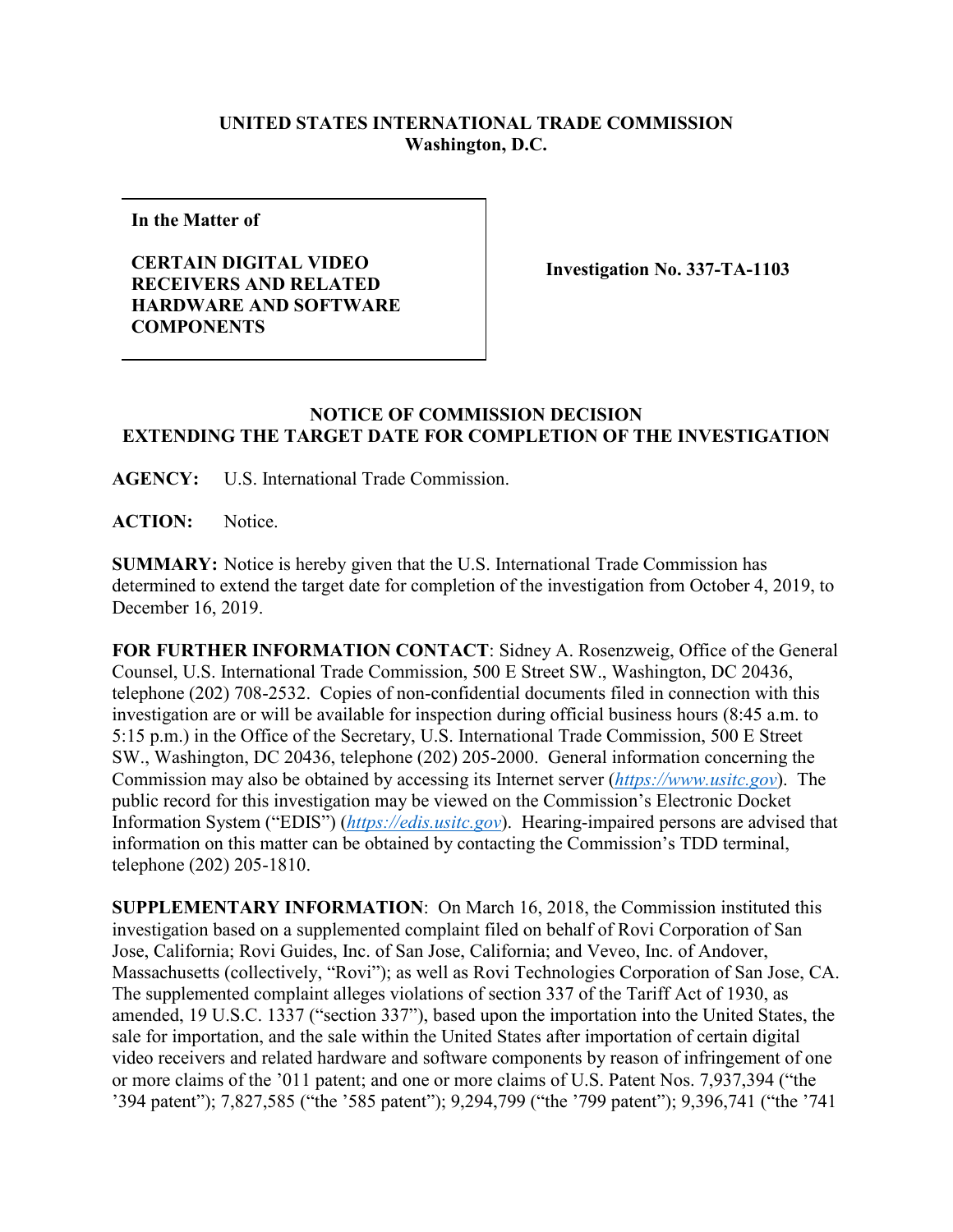## **UNITED STATES INTERNATIONAL TRADE COMMISSION Washington, D.C.**

**In the Matter of**

**CERTAIN DIGITAL VIDEO RECEIVERS AND RELATED HARDWARE AND SOFTWARE COMPONENTS**

**Investigation No. 337-TA-1103**

## **NOTICE OF COMMISSION DECISION EXTENDING THE TARGET DATE FOR COMPLETION OF THE INVESTIGATION**

**AGENCY:** U.S. International Trade Commission.

**ACTION:** Notice.

**SUMMARY:** Notice is hereby given that the U.S. International Trade Commission has determined to extend the target date for completion of the investigation from October 4, 2019, to December 16, 2019.

**FOR FURTHER INFORMATION CONTACT**: Sidney A. Rosenzweig, Office of the General Counsel, U.S. International Trade Commission, 500 E Street SW., Washington, DC 20436, telephone (202) 708-2532. Copies of non-confidential documents filed in connection with this investigation are or will be available for inspection during official business hours (8:45 a.m. to 5:15 p.m.) in the Office of the Secretary, U.S. International Trade Commission, 500 E Street SW., Washington, DC 20436, telephone (202) 205-2000. General information concerning the Commission may also be obtained by accessing its Internet server (*[https://www.usitc.gov](https://www.usitc.gov/)*). The public record for this investigation may be viewed on the Commission's Electronic Docket Information System ("EDIS") (*[https://edis.usitc.gov](https://edis.usitc.gov/)*). Hearing-impaired persons are advised that information on this matter can be obtained by contacting the Commission's TDD terminal, telephone (202) 205-1810.

**SUPPLEMENTARY INFORMATION**: On March 16, 2018, the Commission instituted this investigation based on a supplemented complaint filed on behalf of Rovi Corporation of San Jose, California; Rovi Guides, Inc. of San Jose, California; and Veveo, Inc. of Andover, Massachusetts (collectively, "Rovi"); as well as Rovi Technologies Corporation of San Jose, CA. The supplemented complaint alleges violations of section 337 of the Tariff Act of 1930, as amended, 19 U.S.C. 1337 ("section 337"), based upon the importation into the United States, the sale for importation, and the sale within the United States after importation of certain digital video receivers and related hardware and software components by reason of infringement of one or more claims of the '011 patent; and one or more claims of U.S. Patent Nos. 7,937,394 ("the '394 patent"); 7,827,585 ("the '585 patent"); 9,294,799 ("the '799 patent"); 9,396,741 ("the '741